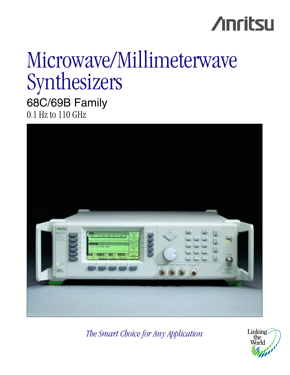# **Anritsu**

# Microwave/Millimeterwave Synthesizers

68C/69B Family 0.1 Hz to 110 GHz



*The Smart Choice for Any Application*

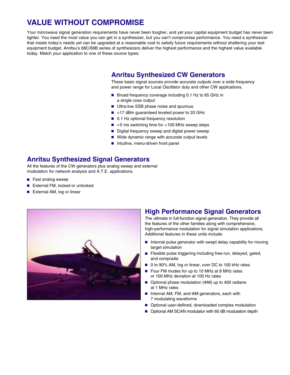# **VALUE WITHOUT COMPROMISE**

Your microwave signal generation requirements have never been tougher, and yet your capital equipment budget has never been tighter. You need the most value you can get in a synthesizer, but you can't compromise performance. You need a synthesizer that meets today's needs yet can be upgraded at a reasonable cost to satisfy future requirements without shattering your test equipment budget. Anritsu's 68C/69B series of synthesizers deliver the highest performance and the highest value available today. Match your application to one of these source types:

# **Anritsu Synthesized CW Generators**

These basic signal sources provide accurate outputs over a wide frequency and power range for Local Oscillator duty and other CW applications.

- Broad frequency coverage including 0.1 Hz to 65 GHz in a single coax output
- Ultra-low SSB phase noise and spurious
- +17 dBm guaranteed leveled power to 20 GHz
- 0.1 Hz optional frequency resolution
- <5 ms switching time for <100 MHz sweep steps
- Digital frequency sweep and digital power sweep
- Wide dynamic range with accurate output levels
- Intuitive, menu-driven front panel

### **Anritsu Synthesized Signal Generators**

All the features of the CW generators plus analog sweep and external modulation for network analysis and A.T.E. applications.

- Fast analog sweep
- External FM, locked or unlocked
- External AM, log or linear



### **High Performance Signal Generators**

The ultimate in full-function signal generation. They provide all the features of the other families along with comprehensive, high-performance modulation for signal simulation applications. Additional features in these units include:

- Internal pulse generator with swept delay capability for moving target simulation
- Flexible pulse triggering including free-run, delayed, gated, and composite
- 0 to 90% AM, log or linear, over DC to 100 kHz rates
- Four FM modes for up to 10 MHz at 8 MHz rates or 100 MHz deviation at 100 Hz rates
- Optional phase modulation (ΦM) up to 400 radians at 1 MHz rates
- Internal AM, FM, and  $\Phi$ M generators, each with 7 modulating waveforms
- Optional user-defined, downloaded complex modulation
- Optional AM SCAN modulator with 60 dB modulation depth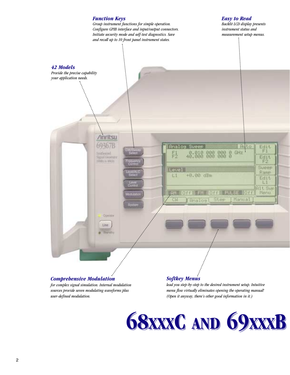

#### *Comprehensive Modulation*

*for complex signal simulation. Internal modulation sources provide seven modulating waveforms plus user-defined modulation.*

### *Softkey Menus*

*lead you step-by-step to the desired instrument setup. Intuitive menu flow virtually eliminates opening the operating manual! (Open it anyway, there's other good information in it.)*

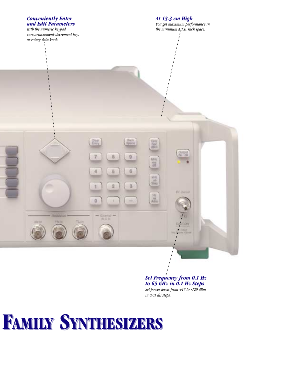# *Conveniently Enter At 13.3 cm High and Edit Parameters You get maximum performance in with the numeric keypad, the minimum A.T.E. rack space. cursor/increment-decrement key, or rotary data knob.*  $\ddot{\cdot}$ **Coar** 驱航 B 图 5 z 6 三日  $\overline{2}$ 3 **INF-Dutjuin** 推進 o **KAnderback ALC IN EMI** Mitt

#### *Set Frequency from 0.1 Hz to 65 GHz in 0.1 Hz Steps. Set power levels from +17 to -120 dBm in 0.01 dB steps.*

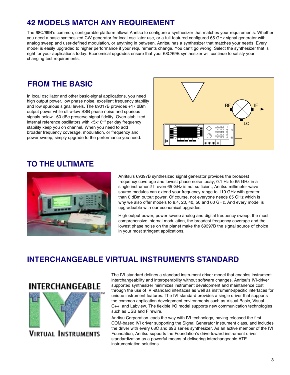# **42 MODELS MATCH ANY REQUIREMENT**

The 68C/69B's common, configurable platform allows Anritsu to configure a synthesizer that matches your requirements. Whether you need a basic synthesized CW generator for local oscillator use, or a full-featured configured 65 GHz signal generator with analog sweep and user-defined modulation, or anything in between. Anritsu has a synthesizer that matches your needs. Every model is easily upgraded to higher performance if your requirements change. You can't go wrong! Select the synthesizer that is right for your applications today. Economical upgrades ensure that your 68C/69B synthesizer will continue to satisfy your changing test requirements.

# **FROM THE BASIC**

In local oscillator and other basic-signal applications, you need high output power, low phase noise, excellent frequency stability and low spurious signal levels. The 69017B provides +17 dBm output power while ultra-low SSB phase noise and spurious signals below –60 dBc preserve signal fidelity. Oven-stabilized internal reference oscillators with <5x10–10 per day frequency stability keep you on channel. When you need to add broader frequency coverage, modulation, or frequency and power sweep, simply upgrade to the performance you need.



# **TO THE ULTIMATE**



Anritsu's 69397B synthesized signal generator provides the broadest frequency coverage and lowest phase noise today, 0.1 Hz to 65 GHz in a single instrument! If even 65 GHz is not sufficient, Anritsu millimeter wave source modules can extend your frequency range to 110 GHz with greater than 0 dBm output power. Of course, not everyone needs 65 GHz which is why we also offer models to 8.4, 20, 40, 50 and 60 GHz. And every model is upgradeable with our economical upgrades.

High output power, power sweep analog and digital frequency sweep, the most comprehensive internal modulation, the broadest frequency coverage and the lowest phase noise on the planet make the 69397B the signal source of choice in your most stringent applications.

# **INTERCHANGEABLE VIRTUAL INSTRUMENTS STANDARD**



**VIRTUAL INSTRUMENTS** 

The IVI standard defines a standard instrument driver model that enables instrument interchangeability and interoperability without software changes. Anritsu's IVI-driver supported synthesizer minimizes instrument development and maintanence cost through the use of IVI-standard interfaces as well as instrument-specific interfaces for unique instrument features. The IVI standard provides a single driver that supports the common application development environments such as Visual Basic, Visual C++, and Labview. The flexible I/O model supports new communication technologies such as USB and Firewire.

Anritsu Corporation leads the way with IVI technology, having released the first COM-based IVI driver supporting the Signal Generator instrument class, and includes the driver with every 68C and 69B series synthesizer. As an active member of the IVI Foundation, Anritsu supports the Foundation's drive toward instrument driver standardization as a powerful means of delivering interchangeable ATE instrumentation solutions.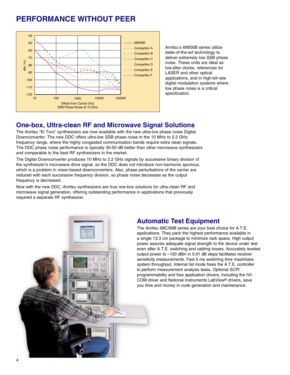# **PERFORMANCE WITHOUT PEER**



Anritsu's 69000B series utilize state-of-the-art technology to deliver extremely low SSB phase noise. These units are ideal as low-jitter clocks, references for LASER and other optical applications, and in high-bit-rate digital modulation systems where low phase noise is a critical specification.

### **One-box, Ultra-clean RF and Microwave Signal Solutions**

The Anritsu "El Toro" synthesizers are now available with the new ultra-low phase noise Digital Downconverter. The new DDC offers ultra-low SSB phase noise in the 10 MHz to 2.2 GHz frequency range, where the highly congested communication bands require extra clean signals. The DDC phase noise performance is typically 30-50 dB better than other microwave synthesizers and comparable to the best RF synthesizers in the market.

The Digital Downconverter produces 10 MHz to 2.2 GHz signals by successive binary division of the synthesizer's microwave drive signal, so the DDC does not introduce non-harmonic spurious, which is a problem in mixer-based downconverters. Also, phase perturbations of the carrier are reduced with each successive frequency division, so phase noise decreases as the output frequency is decreased.

Now with the new DDC, Anritsu synthesizers are true one-box solutions for ultra-clean RF and microwave signal generation, offering outstanding performance in applications that previously required a separate RF synthesizer.



# **Automatic Test Equipment**

The Anritsu 68C/69B series are your best choice for A.T.E. applications. They pack the highest performance available in a single 13.3 cm package to minimize rack space. High output power assures adequate signal strength to the device under test even after A.T.E. switching and cabling losses. Accurately leveled output power to –120 dBm in 0.01 dB steps facilitates receiver sensitivity measurements. Fast 5 ms switching time maximizes system throughput. Internal list mode frees the A.T.E. controller to perform measurement analysis tasks. Optional SCPI programmability and free application drivers, including the IVI-COM driver and National Instruments LabView® drivers, save you time and money in code generation and maintenance.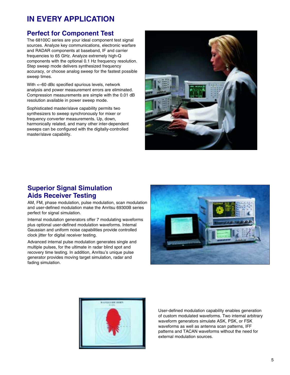# **IN EVERY APPLICATION**

# **Perfect for Component Test**

The 68100C series are your ideal component test signal sources. Analyze key communications, electronic warfare and RADAR components at baseband, IF and carrier frequencies to 65 GHz. Analyze extremely high-Q components with the optional 0.1 Hz frequency resolution. Step sweep mode delivers synthesized frequency accuracy, or choose analog sweep for the fastest possible sweep times.

With <–60 dBc specified spurious levels, network analysis and power measurement errors are eliminated. Compression measurements are simple with the 0.01 dB resolution available in power sweep mode.

Sophisticated master/slave capability permits two synthesizers to sweep synchronously for mixer or frequency converter measurements. Up, down, harmonically related, and many other inter-dependent sweeps can be configured with the digitally-controlled master/slave capability.



### **Superior Signal Simulation Aids Receiver Testing**

AM, FM, phase modulation, pulse modulation, scan modulation and user-defined modulation make the Anritsu 69300B series perfect for signal simulation.

Internal modulation generators offer 7 modulating waveforms plus optional user-defined modulation waveforms. Internal Gaussian and uniform noise capabilities provide controlled clock jitter for digital receiver testing.

Advanced internal pulse modulation generates single and multiple pulses, for the ultimate in radar blind spot and recovery time testing. In addition, Anritsu's unique pulse generator provides moving target simulation, radar and fading simulation.





User-defined modulation capability enables generation of custom modulated waveforms. Two internal arbitrary waveform generators simulate ASK, PSK, or FSK waveforms as well as antenna scan patterns, IFF patterns and TACAN waveforms without the need for external modulation sources.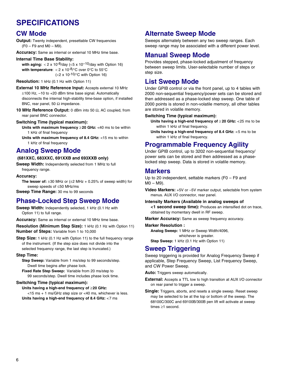# **SPECIFICATIONS**

# **CW Mode**

**Output:** Twenty independent, presettable CW frequencies  $(F0 - F9$  and  $M0 - M9$ ).

**Accuracy:** Same as internal or external 10 MHz time base.

#### **Internal Time Base Stability:**

with aging:  $< 2 \times 10^{-8}$ /day  $(< 5 \times 10^{-10}$ /day with Option 16) **with temperature:** < 2 x 10<sup>-8</sup>/°C over 0°C to 55°C  $(< 2 x 10^{-10}$ <sup>o</sup>C with Option 16)

**Resolution:** 1 kHz (0.1 Hz with Option 11)

**External 10 MHz Reference Input:** Accepts external 10 MHz ±100 Hz, –10 to +20 dBm time base signal. Automatically disconnects the internal high-stability time-base option, if installed BNC, rear panel, 50  $\Omega$  impedance.

**10 MHz Reference Output:** 0 dBm into 50 Ω, AC coupled, from rear panel BNC connector.

#### **Switching Time (typical maximum):**

- **Units with maximum frequency** ≥ **20 GHz:** <40 ms to be within 1 kHz of final frequency
- **Units with maximum frequency of 8.4 GHz:** <15 ms to within 1 kHz of final frequency

### **Analog Sweep Mode**

#### **(681XXC, 683XXC, 691XXB and 693XXB only)**

**Sweep Width:** Independently selected from 1 MHz to full frequency range.

#### **Accuracy:**

**The lesser of:**  $\pm 30$  MHz or  $(\pm 2$  MHz + 0.25% of sweep width) for sweep speeds of ≤50 MHz/ms

**Sweep Time Range:** 30 ms to 99 seconds

### **Phase-Locked Step Sweep Mode**

**Sweep Width:** Independently selected, 1 kHz (0.1 Hz with Option 11) to full range.

**Accuracy:** Same as internal or external 10 MHz time base.

**Resolution (Minimum Step Size):** 1 kHz (0.1 Hz with Option 11) **Number of Steps:** Variable from 1 to 10,000

**Step Size:** 1 kHz (0.1 Hz with Option 11) to the full frequency range of the instrument. (If the step size does not divide into the selected frequency range, the last step is truncated.)

#### **Step Time:**

**Step Sweep:** Variable from 1 ms/step to 99 seconds/step. Dwell time begins after phase lock.

**Fixed Rate Step Sweep:** Variable from 20 ms/step to 99 seconds/step. Dwell time includes phase lock time.

#### **Switching Time (typical maximum):**

**Units having a high-end frequency of** ≥**20 GHz:**  <15 ms + 1 ms/GHz step size or <40 ms, whichever is less. **Units having a high-end frequency of 8.4 GHz:** <7 ms

# **Alternate Sweep Mode**

Sweeps alternately between any two sweep ranges. Each sweep range may be associated with a different power level.

# **Manual Sweep Mode**

Provides stepped, phase-locked adjustment of frequency between sweep limits. User-selectable number of steps or step size.

# **List Sweep Mode**

Under GPIB control or via the front panel, up to 4 tables with 2000 non-sequential frequency/power sets can be stored and then addressed as a phase-locked step sweep. One table of 2000 points is stored in non-volatile memory, all other tables are stored in volatile memory.

#### **Switching Time (typical maximum):**

- **Units having a high-end frequency of** ≥ **20 GHz:** <25 ms to be within 1 kHz of final frequency.
- **Units having a high-end frequency of 8.4 GHz:** <5 ms to be within 1 kHz of final frequency.

# **Programmable Frequency Agility**

Under GPIB control, up to 3202 non-sequential frequency/ power sets can be stored and then addressed as a phaselocked step sweep. Data is stored in volatile memory.

### **Markers**

Up to 20 independent, settable markers (F0 – F9 and M0 – M9).

**Video Markers:** +5V or –5V marker output, selectable from system menus. AUX I/O connector, rear panel.

#### **Intensity Markers (Available in analog sweeps of**

**<1 second sweep time):** Produces an intensified dot on trace, obtained by momentary dwell in RF sweep.

**Marker Accuracy:** Same as sweep frequency accuracy.

#### **Marker Resolution :**

**Analog Sweep:** 1 MHz or Sweep Width/4096,

whichever is greater.

**Step Sweep:** 1 kHz (0.1 Hz with Option 11)

### **Sweep Triggering**

Sweep triggering is provided for Analog Frequency Sweep if applicable, Step Frequency Sweep, List Frequency Sweep, and CW Power Sweep.

**Auto:** Triggers sweep automatically.

- **External:** Accepts a TTL low to high transition at AUX I/O connector on rear panel to trigger a sweep.
- **Single:** Triggers, aborts, and resets a single sweep. Reset sweep may be selected to be at the top or bottom of the sweep. The 68100C/300C and 69100B/300B pen lift will activate at sweep times ≥1 second.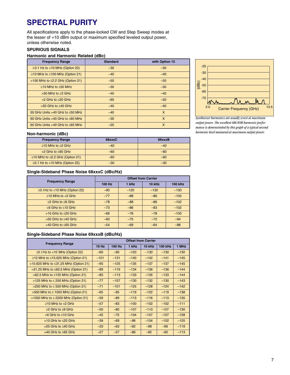# **SPECTRAL PURITY**

All specifications apply to the phase-locked CW and Step Sweep modes at the lesser of +10 dBm output or maximum specified leveled output power, unless otherwise noted.

#### **SPURIOUS SIGNALS**

#### **Harmonic and Harmonic Related (dBc)**

| <b>Frequency Range</b>                  | <b>Standard</b> | with Option 15 |
|-----------------------------------------|-----------------|----------------|
| $\geq$ 0.1 Hz to <10 MHz (Option 22)    | $-30$           | $-30$          |
| $≥10$ MHz to ≤100 MHz (Option 21)       | $-40$           | $-40$          |
| >100 MHz to $\leq$ 2.2 GHz (Option 21)  | $-50$           | $-50$          |
| $>10$ MHz to $< 50$ MHz                 | $-30$           | $-30$          |
| $>50$ MHz to $<$ 2 GHz                  | $-40$           | $-40$          |
| $>2$ GHz to $\leq$ 20 GHz               | $-60$           | $-50$          |
| $>20$ GHz to $<$ 40 GHz                 | $-40$           | $-40$          |
| 50 GHz Units $>40$ GHz to $\leq 50$ MHz | $-40$           | $\mathsf{x}$   |
| 60 GHz Units $>40$ GHz to $\leq 60$ MHz | $-30$           | $\mathsf{x}$   |
| 65 GHz Units >40 GHz to $\leq$ 65 MHz   | $-25$           | X              |



*Synthesizer harmonics are usually worst at maximum output power. The excellent 68C/69B harmonic performance is demonstrated by this graph of a typical second harmonic level measured at maximum output power.*

#### **Non-harmonic (dBc)**

| <b>Frequency Range</b>               | 68xxxC | 69xxxB |
|--------------------------------------|--------|--------|
| ≥10 MHz to $≤$ 2 GHz                 | $-40$  | $-40$  |
| $>2$ GHz to $\leq 65$ GHz            | $-60$  | $-60$  |
| $≥10$ MHz to $≤2.2$ GHz (Option 21)  | $-60$  | $-60$  |
| $\geq$ 0.1 Hz to <10 MHz (Option 22) | $-30$  | $-30$  |

#### **Single-Sideband Phase Noise 68xxxC (dBc/Hz)**

| <b>Frequency Range</b>              | <b>Offset from Carrier</b> |        |        |                |  |
|-------------------------------------|----------------------------|--------|--------|----------------|--|
|                                     | 100 Hz                     | 1 kHz  | 10 kHz | <b>100 kHz</b> |  |
| $\geq$ 0.1Hz to <10 MHz (Option 22) | $-90$                      | $-120$ | $-130$ | $-130$         |  |
| $>10$ MHz to $<$ 2 GHz              | $-77$                      | $-88$  | $-86$  | $-100$         |  |
| $>2$ GHz to $\leq 6$ GHz            | $-78$                      | $-88$  | $-86$  | $-102$         |  |
| $>6$ GHz to $\leq 10$ GHz           | $-73$                      | $-86$  | $-83$  | $-102$         |  |
| $>10$ GHz to $<$ 20 GHz             | $-66$                      | $-78$  | $-78$  | $-100$         |  |
| $>$ 20 GHz to $\leq$ 40 GHz         | $-60$                      | $-75$  | $-72$  | $-94$          |  |
| $>40$ GHz to $\leq$ 65 GHz          | $-54$                      | $-69$  | $-64$  | $-88$          |  |

#### **Single-Sideband Phase Noise 69xxxB (dBc/Hz)**

| <b>Frequency Range</b>                    | <b>Offset from Carrier</b> |        |        |        |                |        |
|-------------------------------------------|----------------------------|--------|--------|--------|----------------|--------|
|                                           | $10$ Hz                    | 100 Hz | 1 kHz  | 10 kHz | <b>100 kHz</b> | 1 MHz  |
| $\geq$ 0.1 Hz to <10 MHz (Option 22)      | $-60$                      | $-90$  | $-120$ | $-130$ | $-130$         | $-130$ |
| ≥10 MHz to ≤15.625 MHz (Option 21)        | $-101$                     | $-131$ | $-140$ | $-142$ | $-141$         | $-145$ |
| >15.625 MHz to ≤31.25 MHz (Option 21)     | $-95$                      | $-125$ | $-135$ | $-137$ | $-137$         | $-145$ |
| >31.25 MHz to ≤62.5 MHz (Option 21)       | $-89$                      | $-119$ | $-134$ | $-136$ | $-136$         | $-144$ |
| $>62.5$ MHz to $\leq$ 125 MHz (Option 21) | $-83$                      | $-113$ | $-133$ | $-135$ | $-133$         | $-144$ |
| >125 MHz to $\leq$ 250 MHz (Option 21)    | $-77$                      | $-107$ | $-130$ | $-132$ | $-130$         | $-143$ |
| >250 MHz to $\leq$ 500 MHz (Option 21)    | $-71$                      | $-101$ | $-125$ | $-128$ | $-124$         | $-142$ |
| >500 MHz to $\leq$ 1050 MHz (Option 21)   | $-65$                      | $-95$  | $-119$ | $-122$ | $-119$         | $-138$ |
| >1050 MHz to $\leq$ 2200 MHz (Option 21)  | $-59$                      | $-89$  | $-113$ | $-116$ | $-113$         | $-135$ |
| $>10$ MHz to $<$ 2 GHz                    | $-57$                      | $-83$  | $-100$ | $-102$ | $-102$         | $-111$ |
| $\geq$ GHz to $\leq$ GHz                  | $-50$                      | $-80$  | $-107$ | $-110$ | $-107$         | $-130$ |
| $>6$ GHz to $\leq 10$ GHz                 | $-45$                      | $-75$  | $-104$ | $-107$ | $-107$         | $-128$ |
| $>10$ GHz to $\leq 20$ GHz                | $-39$                      | $-69$  | $-98$  | $-104$ | $-102$         | $-125$ |
| $>20$ GHz to $<$ 40 GHz                   | $-33$                      | $-63$  | $-92$  | $-98$  | $-96$          | $-119$ |
| $>40$ GHz to $\leq$ 65 GHz                | $-27$                      | $-57$  | $-86$  | $-92$  | $-90$          | $-113$ |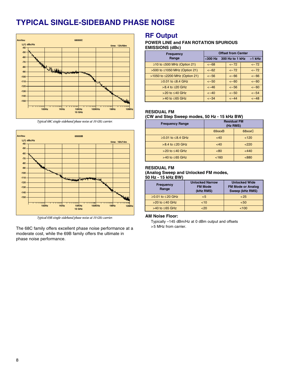# **TYPICAL SINGLE-SIDEBAND PHASE NOISE**



*Typical 68C single-sideband phase noise at 10 GHz carrier.*



*Typical 69B single-sideband phase noise at 10 GHz carrier.*

The 68C family offers excellent phase noise performance at a moderate cost, while the 69B family offers the ultimate in phase noise performance.

### **RF Output**

#### **POWER LINE and FAN ROTATION SPURIOUS EMISSIONS (dBc)**

| <b>Frequency</b>                | <b>Offset from Center</b> |                 |          |  |
|---------------------------------|---------------------------|-----------------|----------|--|
| Range                           | $300 Hz$                  | 300 Hz to 1 kHz | $>1$ kHz |  |
| $≥10$ to $≤500$ MHz (Option 21) | $<-68$                    | $<-72$          | $<-72$   |  |
| >500 to ≤1050 MHz (Option 21)   | $<-62$                    | $<-72$          | $<-72$   |  |
| >1050 to ≤2200 MHz (Option 21)  | $<-56$                    | $<-66$          | $<-66$   |  |
| $≥0.01$ to $≤8.4$ GHz           | $<-50$                    | $<-60$          | $<-60$   |  |
| $>8.4$ to $\leq 20$ GHz         | $<-46$                    | $<-56$          | $<-60$   |  |
| $>20$ to $\leq 40$ GHz          | $<-40$                    | $<-50$          | $<-54$   |  |
| $>40$ to $\leq 65$ GHz          | $<-34$                    | $<-44$          | $<-48$   |  |

#### **RESIDUAL FM**

#### **(CW and Step Sweep modes, 50 Hz - 15 kHz BW)**

| <b>Frequency Range</b>  | <b>Residual FM</b><br>(Hz RMS) |        |
|-------------------------|--------------------------------|--------|
|                         | 69xxxB                         | 68xxxC |
| $≥0.01$ to $≤8.4$ GHz   | <40                            | < 120  |
| $>8.4$ to $\leq 20$ GHz | <40                            | < 220  |
| $>20$ to $\leq 40$ GHz  | <80                            | < 440  |
| $>40$ to $< 65$ GHz     | < 160                          | < 880  |

#### **RESIDUAL FM**

#### **(Analog Sweep and Unlocked FM modes, 50 Hz - 15 kHz BW)**

| <b>Frequency</b><br>Range | <b>Unlocked Narrow</b><br><b>FM Mode</b><br>(kHz RMS) | <b>Unlocked Wide</b><br><b>FM Mode or Analog</b><br>Sweep (kHz RMS) |
|---------------------------|-------------------------------------------------------|---------------------------------------------------------------------|
| $≥0.01$ to $≤20$ GHz      | < 5                                                   | < 25                                                                |
| $>20$ to $\leq 40$ GHz    | <10                                                   | < 50                                                                |
| $>40$ to $\leq$ 65 GHz    | $<$ 20                                                | 100                                                                 |

#### **AM Noise Floor:**

Typically –145 dBm/Hz at 0 dBm output and offsets >5 MHz from carrier.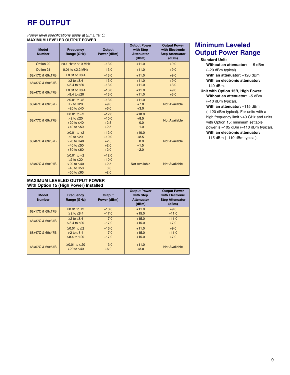# **RF OUTPUT**

*Power level specifications apply at 25*° ± *10*°*C.* **MAXIMUM LEVELED OUTPUT POWER**

| <b>Model</b><br><b>Number</b> | Frequency<br>Range (GHz)                                                                          | <b>Output</b><br>Power (dBm)                     | <b>Output Power</b><br>with Step<br><b>Attenuator</b><br>(dBm) | <b>Output Power</b><br>with Electronic<br><b>Step Attenuator</b><br>(dBm) |
|-------------------------------|---------------------------------------------------------------------------------------------------|--------------------------------------------------|----------------------------------------------------------------|---------------------------------------------------------------------------|
| Option 22                     | $>0.1$ Hz to $\leq 10$ MHz                                                                        | $+13.0$                                          | $+11.0$                                                        | $+9.0$                                                                    |
| Option 21                     | $0.01$ to $\leq$ 2.2 MHz                                                                          | $+13.0$                                          | $+11.0$                                                        | $+9.0$                                                                    |
| 68x17C & 69x17B               | $≥0.01$ to $≤8.4$                                                                                 | $+13.0$                                          | $+11.0$                                                        | $+9.0$                                                                    |
| 68x37C & 69x37B               | $>2$ to $< 8.4$<br>$>8.4$ to $\leq 20$                                                            | $+13.0$<br>$+13.0$                               | $+11.0$<br>$+11.0$                                             | $+9.0$<br>$+3.0$                                                          |
| 68x47C & 69x47B               | $>0.01$ to $\leq 8.4$<br>$>8.4$ to $\leq 20$                                                      | $+13.0$<br>$+13.0$                               | $+11.0$<br>$+11.0$                                             | $+9.0$<br>$+3.0$                                                          |
| 68x67C & 69x67B               | $>0.01$ to $<$ 2<br>$>2$ to $< 20$<br>$>20$ to $\leq 40$                                          | $+13.0$<br>$+9.0$<br>$+6.0$                      | $+11.0$<br>$+7.0$<br>$+3.0$                                    | <b>Not Available</b>                                                      |
| 68x77C & 69x77B               | $>0.01$ to $<$ 2<br>$>2$ to $\leq 20$<br>$>20$ to $< 40$<br>$>40$ to $\leq 50$                    | $+12.0$<br>$+10.0$<br>$+2.5$<br>$+2.5$           | $+10.0$<br>$+8.5$<br>0.0<br>$-1.0$                             | <b>Not Available</b>                                                      |
| 68x87C & 69x87B               | $≥0.01$ to $<$ 2<br>$>2$ to $< 20$<br>$>20$ to $< 40$<br>$>40$ to $\leq 50$<br>$>50$ to $\leq 60$ | $+12.0$<br>$+10.0$<br>$+2.5$<br>$+2.0$<br>$+2.0$ | $+10.0$<br>$+8.5$<br>0.0<br>$-1.5$<br>$-2.0$                   | <b>Not Available</b>                                                      |
| 68x97C & 69x97B               | $>0.01$ to $<$ 2<br>$≥2$ to $≤20$<br>$>20$ to $< 40$<br>$>40$ to $\leq 50$<br>$>50$ to $\leq 65$  | $+12.0$<br>$+10.0$<br>$+2.5$<br>0.0<br>$-2.0$    | Not Available                                                  | <b>Not Available</b>                                                      |

#### **MAXIMUM LEVELED OUTPUT POWER With Option 15 (High Power) Installed**

| <b>Model</b><br><b>Number</b> | <b>Frequency</b><br>Range (GHz)         | Output<br>Power (dBm) | <b>Output Power</b><br>with Step<br><b>Attenuator</b><br>(dBm) | <b>Output Power</b><br>with Electronic<br><b>Step Attenuator</b><br>(dBm) |
|-------------------------------|-----------------------------------------|-----------------------|----------------------------------------------------------------|---------------------------------------------------------------------------|
| 68x17C & 69x17B               | $>0.01$ to $<$ 2                        | $+13.0$               | $+11.0$                                                        | $+9.0$                                                                    |
|                               | $>2$ to $< 8.4$                         | $+17.0$               | $+15.0$                                                        | $+11.0$                                                                   |
| 68x37C & 69x37B               | $>2$ to $< 8.4$                         | $+17.0$               | $+15.0$                                                        | $+11.0$                                                                   |
|                               | $>8.4$ to $\leq 20$                     | $+17.0$               | $+15.0$                                                        | $+7.0$                                                                    |
|                               | $>0.01$ to $<$ 2                        | $+13.0$               | $+11.0$                                                        | $+9.0$                                                                    |
| 68x47C & 69x47B               | $>2$ to $< 8.4$                         | $+17.0$               | $+15.0$                                                        | $+11.0$                                                                   |
|                               | >8.4 to ≤20                             | $+17.0$               | $+15.0$                                                        | $+7.0$                                                                    |
| 68x67C & 69x67B               | $>0.01$ to $< 20$<br>$>20$ to $\leq 40$ | $+13.0$<br>$+6.0$     | $+11.0$<br>$+3.0$                                              | Not Available                                                             |

# **Minimum Leveled Output Power Range**

#### **Standard Unit:**

**Without an attenuator:** –15 dBm (–20 dBm typical).

**With an attenuator:** –120 dBm. **With an electronic attenuator:**

–140 dBm. **Unit with Option 15B, High Power:**

**Without an attenuator:** –5 dBm (–10 dBm typical).

**With an attenuator:** –115 dBm (–120 dBm typical). For units with a high frequency limit >40 GHz and units with Option 15: minimum settable power is –105 dBm (–110 dBm typical). **With an electronic attenuator:** –115 dBm (–110 dBm typical).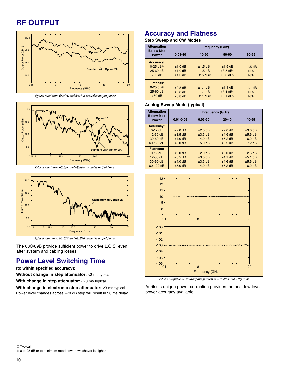# **RF OUTPUT**



*Typical maximum 68x47C and 69x47B available output power*



*Typical maximum 68x69C and 69x69B available output power*



*Typical maximum 68x87C and 69x87B available output power*

The 68C/69B provide sufficient power to drive L.O.S. even after system and cabling losses.

### **Power Level Switching Time**

**(to within specified accuracy):**

**Without change in step attenuator:** <3 ms typical

**With change in step attenuator:** <20 ms typical

**With change in electronic step attenuator:** <3 ms typical. Power level changes across –70 dB step will result in 20 ms delay.

# **Accuracy and Flatness**

#### **Step Sweep and CW Modes**

| <b>Attenuation</b><br><b>Below Max</b>                                                | <b>Frequency (GHz)</b>                       |                                                                      |                                                                                                         |                         |
|---------------------------------------------------------------------------------------|----------------------------------------------|----------------------------------------------------------------------|---------------------------------------------------------------------------------------------------------|-------------------------|
| <b>Power</b>                                                                          | $0.01 - 40$                                  | $40 - 50$                                                            | $50 - 60$                                                                                               | 60-65                   |
| <b>Accuracy:</b><br>$0-25$ dB <sup><math>\circ</math></sup><br>$25-60$ dB<br>$>60$ dB | $±1.0$ dB<br>$±1.0$ dB<br>$±1.0$ dB          | $±1.5$ dB<br>$±1.5$ dB<br>$\pm 2.5$ dB <sup><math>\odot</math></sup> | $±1.5$ dB<br>$\pm 3.5$ dB <sup><math>\oplus</math></sup><br>$\pm 3.5$ dB <sup><math>\oplus</math></sup> | $±1.5$ dB<br>N/A<br>N/A |
| <b>Flatness:</b><br>$0-25$ dB <sup><math>\circ</math></sup><br>$25-60$ dB<br>$>60$ dB | $\pm 0.8$ dB<br>$\pm 0.8$ dB<br>$\pm 0.8$ dB | $±1.1$ dB<br>$±1.1$ dB<br>$±2.1$ dB <sup>①</sup>                     | $±1.1$ dB<br>$\pm 3.1$ dB <sup><math>\oplus</math></sup><br>$\pm 3.1$ dB <sup><math>\odot</math></sup>  | $±1.1$ dB<br>N/A<br>N/A |

#### **Analog Sweep Mode (typical)**

| <b>Attenuation</b><br><b>Below Max</b>                                 | <b>Frequency (GHz)</b>                            |                                                      |                                                        |                                                     |
|------------------------------------------------------------------------|---------------------------------------------------|------------------------------------------------------|--------------------------------------------------------|-----------------------------------------------------|
| <b>Power</b>                                                           | $0.01 - 0.05$                                     | $0.05 - 20$                                          | $20 - 40$                                              | $40 - 65$                                           |
| <b>Accuracy:</b><br>$0-12$ dB<br>$12-30$ dB<br>$30-60$ dB<br>60-122 dB | ±2.0 dB<br>$\pm 3.5$ dB<br>$±4.0$ dB<br>$±5.0$ dB | $±2.0$ dB<br>$\pm 3.5$ dB<br>$±4.0$ dB<br>$±5.0$ dB  | $±2.0$ dB<br>$±4.6$ dB<br>$\pm 5.2$ dB<br>$\pm 6.2$ dB | $±3.0$ dB<br>$±5.6$ dB<br>$\pm 6.2$ dB<br>$±7.2$ dB |
| <b>Flatness:</b><br>$0-12$ dB<br>$12-30$ dB<br>$30-60$ dB<br>60-122 dB | ±2.0 dB<br>$\pm 3.5$ dB<br>$±4.0$ dB<br>$±5.0$ dB | ±2.0 dB<br>$\pm 3.0$ dB<br>$\pm 3.5$ dB<br>$±4.0$ dB | $±2.0$ dB<br>$±4.1$ dB<br>$±4.6$ dB<br>$±5.2$ dB       | $±2.5$ dB<br>$±5.1$ dB<br>$±5.6$ dB<br>$\pm 6.2$ dB |



*Typical output level accuracy and flatness at +10 dBm and –103 dBm*

Anritsu's unique power correction provides the best low-level power accuracy available.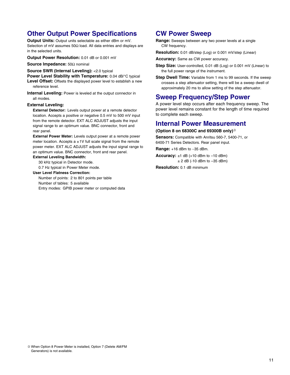# **Other Output Power Specifications**

**Output Units:** Output units selectable as either dBm or mV. Selection of mV assumes 50Ω load. All data entries and displays are in the selected units.

**Output Power Resolution:** 0.01 dB or 0.001 mV

**Source Impedance:** 50Ω nominal

**Source SWR (Internal Leveling):** <2.0 typical

**Power Level Stability with Temperature:** 0.04 dB/°C typical

Level Offset: Offsets the displayed power level to establish a new reference level.

**Internal Leveling:** Power is leveled at the output connector in all modes.

#### **External Leveling:**

**External Detector:** Levels output power at a remote detector location. Accepts a positive or negative 0.5 mV to 500 mV input from the remote detector. EXT ALC ADJUST adjusts the input signal range to an optimum value. BNC connector, front and rear panel.

**External Power Meter:** Levels output power at a remote power meter location. Accepts  $a \pm 1V$  full scale signal from the remote power meter. EXT ALC ADJUST adjusts the input signal range to an optimum value. BNC connector, front and rear panel.

### **External Leveling Bandwidth:**

30 kHz typical in Detector mode. 0.7 Hz typical in Power Meter mode.

**User Level Flatness Correction:**

Number of points: 2 to 801 points per table Number of tables: 5 available Entry modes: GPIB power meter or computed data

### **CW Power Sweep**

**Range:** Sweeps between any two power levels at a single CW frequency.

**Resolution:** 0.01 dB/step (Log) or 0.001 mV/step (Linear)

**Accuracy:** Same as CW power accuracy.

- **Step Size:** User-controlled, 0.01 dB (Log) or 0.001 mV (Linear) to the full power range of the instrument.
- **Step Dwell Time:** Variable from 1 ms to 99 seconds. If the sweep crosses a step attenuator setting, there will be a sweep dwell of approximately 20 ms to allow setting of the step attenuator.

### **Sweep Frequency/Step Power**

A power level step occurs after each frequency sweep. The power level remains constant for the length of time required to complete each sweep.

### **Internal Power Measurement**

#### **(Option 8 on 68300C and 69300B only)**<sup>➂</sup>

**Sensors:** Compatible with Anritsu 560-7, 5400-71, or 6400-71 Series Detectors. Rear panel input.

**Range:** +16 dBm to −35 dBm.

**Accuracy:**  $\pm 1$  dB ( $+10$  dBm to  $-10$  dBm)  $± 2$  dB (-10 dBm to  $-35$  dBm)

**Resolution:** 0.1 dB minimum

➂ When Option 8 Power Meter is installed, Option 7 (Delete AM/FM Generators) is not available.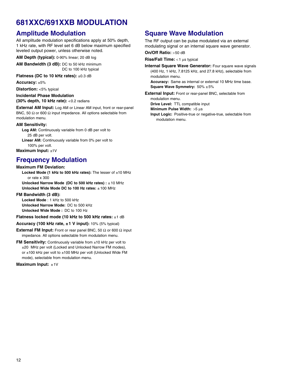# **681XXC/691XXB MODULATION**

# **Amplitude Modulation**

All amplitude modulation specifications apply at 50% depth, 1 kHz rate, with RF level set 6 dB below maximum specified leveled output power, unless otherwise noted.

**AM Depth (typical):** 0-90% linear; 20 dB log

**AM Bandwidth (3 dB):** DC to 50 kHz minimum DC to 100 kHz typical

**Flatness (DC to 10 kHz rates):** ±0.3 dB

**Accuracy:** ±5%

**Distortion:** <5% typical

#### **Incidental Phase Modulation (30% depth, 10 kHz rate):** <0.2 radians

**External AM Input:** Log AM or Linear AM input, front or rear-panel BNC, 50  $\Omega$  or 600  $\Omega$  input impedance. All options selectable from modulation menu.

#### **AM Sensitivity:**

**Log AM:** Continuously variable from 0 dB per volt to 25 dB per volt.

Linear AM: Continuously variable from 0% per volt to 100% per volt.

**Maximum Input:** ±1V

# **Frequency Modulation**

#### **Maximum FM Deviation:**

**Locked Mode (1 kHz to 500 kHz rates):** The lesser of ±10 MHz or rate x 300

**Unlocked Narrow Mode (DC to 500 kHz rates) :** ± 10 MHz **Unlocked Wide Mode DC to 100 Hz rates:** ± 100 MHz

#### **FM Bandwidth (3 dB):**

**Locked Mode** : 1 kHz to 500 kHz **Unlocked Narrow Mode:** DC to 500 kHz **Unlocked Wide Mode :** DC to 100 Hz

**Flatness locked mode (10 kHz to 500 kHz rates:** ±1 dB

#### **Accuracy (100 kHz rate, ±1 V input):** 10% (5% typical)

**External FM Input:** Front or rear panel BNC, 50 Ω or 600 Ω input impedance. All options selectable from modulation menu.

**FM Sensitivity:** Continuously variable from ±10 kHz per volt to ±20 MHz per volt (Locked and Unlocked Narrow FM modes), or ±100 kHz per volt to ±100 MHz per volt (Unlocked Wide FM mode), selectable from modulation menu.

**Maximum Input:** ±1V

# **Square Wave Modulation**

The RF output can be pulse modulated via an external modulating signal or an internal square wave generator.

**On/Off Ratio:** >50 dB

**Rise/Fall Time:** < 1 µs typical

**Internal Square Wave Generator:** Four square wave signals (400 Hz, 1 kHz, 7.8125 kHz, and 27.8 kHz), selectable from modulation menu.

**Accuracy:** Same as internal or external 10 MHz time base. **Square Wave Symmetry:** 50% ±5%

**External Input:** Front or rear-panel BNC, selectable from modulation menu.

**Drive Level:** TTL compatible input

**Minimum Pulse Width:** >5 µs

**Input Logic:** Positive-true or negative-true, selectable from modulation menu.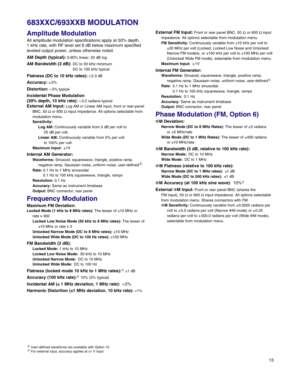# **683XXC/693XXB MODULATION**

### **Amplitude Modulation**

All amplitude modulation specifications apply at 50% depth, 1 kHz rate, with RF level set 6 dB below maximum specified leveled output power, unless otherwise noted.

**AM Depth (typical):** 0-90% linear; 20 dB log

**AM Bandwidth (3 dB):** DC to 50 kHz minimum DC to 100 kHz typical

#### Flatness (DC to 10 kHz rates): ±0.3 dB

**Accuracy:** ± 5%

**Distortion:** < 5% typical

#### **Incidental Phase Modulation**

#### **(30% depth, 10 kHz rate):** < 0.2 radians typical

**External AM Input:** Log AM or Linear AM input, front or rear-panel BNC, 50  $\Omega$  or 600  $\Omega$  input impedance. All options selectable from modulation menu.

#### **Sensitivity:**

Log AM: Continuously variable from 0 dB per volt to 25 dB per volt.

**Linear AM:** Continuously variable from 0% per volt to 100% per volt.

**Maximum Input:** ±1V

#### **Internal AM Generator:**

**Waveforms:** Sinusoid, squarewave, triangle, positive ramp, negative ramp, Gaussian noise, uniform noise, user-defined $^{\circledR}$ **Rate:** 0.1 Hz to 1 MHz sinusoidal

0.1 Hz to 100 kHz squarewave, triangle, ramps **Resolution:** 0.1 Hz **Accuracy:** Same as instrument timebase **Output:** BNC connector, rear panel

# **Frequency Modulation**

#### **Maximum FM Deviation:**

**Locked Mode (1 kHz to 8 MHz rates):** The lesser of ±10 MHz or rate x 300 **Locked Low Noise Mode (50 kHz to 8 MHz rates):** The lesser of ±10 MHz or rate x 3

**Unlocked Narrow Mode (DC to 8 MHz rates):** ±10 MHz **Unlocked Wide Mode (DC to 100 Hz rates):** ±100 MHz

#### **FM Bandwidth (3 dB):**

**Locked Mode:** 1 kHz to 10 MHz **Locked Low Noise Mode:** 30 kHz to 10 MHz **Unlocked Narrow Mode:** DC to 10 MHz **Unlocked Wide Mode:** DC to 100 Hz

**Flatness (locked mode 10 kHz to 1 MHz rates):**<sup>➄</sup> ±1 dB

**Accuracy (100 kHz rate):**<sup>➄</sup> 10% (5% typical)

**Incidental AM (± 1 MHz deviation, 1 MHz rate):** <2%

**Harmonic Distortion (±1 MHz deviation, 10 kHz rate):** <1%

**External FM Input:** Front or rear panel BNC, 50  $\Omega$  or 600  $\Omega$  input impedance. All options selectable from modulation menu.

**FM Sensitivity:** Continuously variable from ±10 kHz per volt to ±20 MHz per volt (Locked, Locked Low Noise and Unlocked Narrow FM modes), or  $\pm 100$  kHz per volt to  $\pm 100$  MHz per volt (Unlocked Wide FM mode), selectable from modulation menu. **Maximum Input:** ±1V

#### **Internal FM Generator:**

**Waveforms:** Sinusoid, squarewave, triangle, positive ramp, negative ramp, Gaussain noise, uniform noise, user-defined $@$ **Rate:** 0.1 Hz to 1 MHz sinusoidal

0.1 Hz to 100 kHz squarewave, triangle, ramps

**Resolution:** 0.1 Hz

**Accuracy:** Same as instrument timebase

**Output:** BNC connector, rear panel

### **Phase Modulation (FM, Option 6)**

#### Φ**M Deviation:**

**Narrow Mode (DC to 8 MHz Rates)**: The lesser of ±3 radians or ±5 MHz/rate

Wide Mode (DC to 1 MHz Rates): The lesser of ±400 radians or ±10 MHz/rate.

Φ**M Bandwidth (3 dB, relative to 100 kHz rate): Narrow Mode:** DC to 10 MHz **Wide Mode:** DC to 1 MHz

Φ**M Flatness (relative to 100 kHz rate): Narrow Mode (DC to 1 MHz rates):** ±1 dB **Wide Mode (DC to 500 kHz rates):** ±1 dB

Φ**M Accuracy (at 100 kHz sine wave)**: 10%<sup>➄</sup>

**External** Φ**M Input:** Front or rear panel BNC (shares the FM input), 50  $\Omega$  or 600  $\Omega$  input impedance. All options selectable from modulation menu. Shares connectors with FM.

Φ**M Sensitivity:** Continuously variable from ±0.0025 radians per volt to ±5.0 radians per volt (Narrow ΦM mode) or ±0.25 radians per volt to  $\pm 500.0$  radians per volt (Wide ΦM mode), selectable from modulation menu.

 $\circledS$  For external input, accuracy applies at ±1 V input

➃ User-defined waveforms are available with Option 10.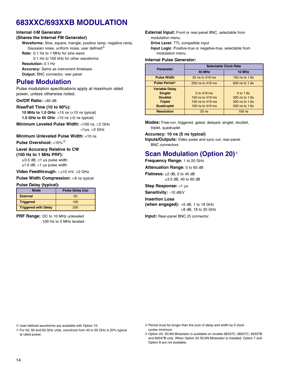# **683XXC/693XXB MODULATION**

#### **Internal** Φ**M Generator**

#### **(Shares the Internal FM Generator)**

**Waveforms:** Sine, square, triangle, positive ramp, negative ramp, Gaussian noise, uniform noise, user defined $@$ 

**Rate:** 0.1 Hz to 1 MHz for sine wave

0.1 Hz to 100 kHz for other waveforms

**Resolution:** 0.1 Hz

**Accuracy:** Same as instrument timebase. **Output:** BNC connector, rear panel

### **Pulse Modulation**

Pulse modulation specifications apply at maximum rated power, unless otherwise noted.

#### **On/Off Ratio:** >80 dB

#### **Rise/Fall Time (10 to 90%):**

**10 MHz to 1.0 GHz:** <15 ns (<10 ns typical) **1.0 GHz to 65 GHz**: <10 ns (<5 ns typical)

**Minimum Leveled Pulse Width:** <100 ns, ≥2 GHz  $<$ 1 $\mu$ s,  $<$ 2 GHz

**Minimum Unleveled Pulse Width:** <10 ns

**Pulse Overshoot:** <10%<sup> $\oslash$ </sup>

### **Level Accuracy Relative to CW**

**(100 Hz to 1 MHz PRF):**

 $\pm 0.5$  dB,  $\geq 1$  µs pulse width  $±1.0$  dB,  $<$ 1 µs pulse width

**Video Feedthrough:** < ±10 mV, ≥2 GHz

**Pulse Width Compression:** <8 ns typical

#### **Pulse Delay (typical):**

| <b>Mode</b>                 | Pulse Delay (ns) |
|-----------------------------|------------------|
| <b>External</b>             | 50               |
| <b>Triggered</b>            | 100              |
| <b>Triggered with Delay</b> | 200              |

**PRF Range:** DC to 10 MHz unleveled 100 Hz to 5 MHz leveled **External Input:** Front or rear-panel BNC, selectable from modulation menu.

**Drive Level:** TTL compatible input

**Input Logic**: Positive-true or negative-true, selectable from modulation menu.

#### **Internal Pulse Generator:**

| <b>Parameter</b>      | <b>Selectable Clock Rate</b> |                  |
|-----------------------|------------------------------|------------------|
|                       | 40 MHz                       | 10 MHz           |
| <b>Pulse Width</b>    | 25 ns to 419 ms              | 100 ns to $1.6s$ |
| <b>Pulse Period®</b>  | 250 ns to 419 ms             | 600 ns to 1.6s   |
| <b>Variable Delay</b> |                              |                  |
| <b>Singlet</b>        | 0 to 419 ms                  | $0$ to 1.6s      |
| <b>Doublet</b>        | 100 ns to 419 ms             | 300 ns to 1.6s   |
| <b>Triplet</b>        | 100 ns to $419$ ms           | 300 ns to 1.6s   |
| Quadruplet            | 100 ns to $419$ ms           | 300 ns to 1.6s   |
| <b>Resolution</b>     | $25$ ns                      | $100$ ns         |

**Modes:** Free-run, triggered, gated, delayed, singlet, doublet, triplet, quadruplet

#### **Accuracy: 10 ns (5 ns typical)**

**Inputs/Outputs:** Video pulse and sync out, rear-panel BNC connectors

# **Scan Modulation (Option 20)**<sup>®</sup>

**Frequency Range:** 1 to 20 GHz

**Attenuation Range:** 0 to 60 dB

**Flatness:** ±2 dB, 0 to 40 dB ±3.5 dB, 40 to 60 dB

**Step Response:** <1 µs

**Sensitivity:** −10 dB/V

**Insertion Loss (when engaged):** <6 dB, 1 to 18 GHz

<8 dB, 18 to 20 GHz

**Input:** Rear-panel BNC (f) connector

➅ User-defined waveforms are available with Option 10.

- ➆ For 50, 60 and 65 GHz units, overshoot from 40 to 65 GHz is 20% typical at rated power.
- ➇ Period must be longer than the sum of delay and width by 5 clock cycles minimum.

➈ Option 20, SCAN Modulator is available on models 68337C, 68347C, 69337B and 69347B only. When Option 20 SCAN Modulator is installed, Option 7 and Option 8 are not available.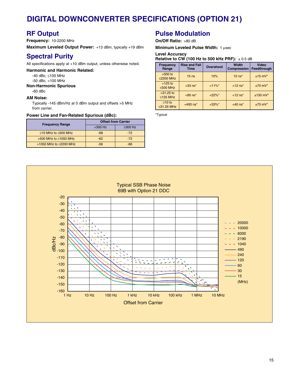# **DIGITAL DOWNCONVERTER SPECIFICATIONS (OPTION 21)**

# **RF Output**

**Frequency:** 10-2200 MHz

**Maximum Leveled Output Power:** +13 dBm, typically +19 dBm

# **Spectral Purity**

All specifications apply at +10 dBm output, unless otherwise noted.

**Harmonic and Harmonic Related:**

-40 dBc, ≤100 MHz

-50 dBc, >100 MHz

**Non-Harmonic Spurious**

-60 dBc

#### **AM Noise:**

Typically -145 dBm/Hz at 0 dBm output and offsets >5 MHz from carrier.

#### **Power Line and Fan-Related Spurious (dBc):**

| <b>Frequency Range</b>        | <b>Offset from Carrier</b> |               |
|-------------------------------|----------------------------|---------------|
|                               | $300 Hz$                   | $\geq$ 300 Hz |
| $≥10$ MHz to $≤500$ MHz       | $-68$                      | $-72$         |
| $>500$ MHz to $\leq 1050$ MHz | $-62$                      | $-72$         |
| >1050 MHz to $\leq$ 2200 MHz  | -56                        | -66           |

### **Pulse Modulation**

**On/Off Ratio:** >80 dB

**Minimum Leveled Pulse Width: 1 usec** 

#### **Level Accuracy**

#### **Relative to CW (100 Hz to 500 kHz PRF):** ± 0.5 dB

| <b>Frequency</b><br>Range        | <b>Rise and Fall</b><br>Time | <b>Overshoot</b> | Width<br><b>Compression</b> | Video<br>Feedthrough  |
|----------------------------------|------------------------------|------------------|-----------------------------|-----------------------|
| $>500$ to<br>≤2200 MHz           | 15 <sub>ns</sub>             | 10%              | $12$ ns <sup>*</sup>        | $±15$ mV*             |
| $>125$ to<br>$\leq$ 500 MHz      | $<$ 33 ns <sup>*</sup>       | $<11\%$ *        | $<$ 12 ns <sup>*</sup>      | $±70$ mV <sup>*</sup> |
| $>31.25$ to<br>≤125 MHz          | $< 90$ ns <sup>*</sup>       | $<22\%$ *        | $<$ 12 ns <sup>*</sup>      | $±130$ mV*            |
| $\geq 10$ to<br>$\leq$ 31.25 MHz | $<$ 400 ns <sup>*</sup>      | $< 33\%$ *       | $<$ 40 ns <sup>*</sup>      | $±70$ mV*             |

\*Typical

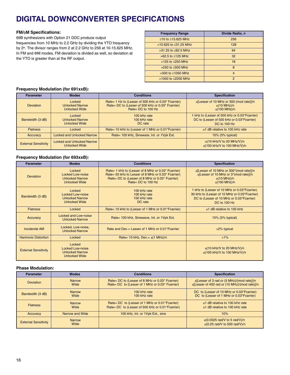# **DIGITAL DOWNCONVERTER SPECIFICATIONS**

#### **FM/**φ**M Specifications:**

69B synthesizers with Option 21 DDC produce output frequencies from 10 MHz to 2.2 GHz by dividing the YTO frequency by 2n. The divisor ranges from 2 at 2.2 GHz to 256 at 10-15.625 MHz. In FM and ΦM modes, FM deviation is divided as well, so deviation at the YTO is greater than at the RF output.

| <b>Frequency Range</b>     | Divide Radio, n |
|----------------------------|-----------------|
| $>10$ to $< 15.625$ MHz    | 256             |
| $>15.625$ to $<$ 31.25 MHz | 128             |
| $>31.25$ to $< 62.5$ MHz   | 64              |
| $>62.5$ to $<$ 125 MHz     | 32              |
| $>125$ to $<$ 250 MHz      | 16              |
| $>250$ to $< 500$ MHz      | 8               |
| $>500$ to $<$ 1050 MHz     | $\overline{4}$  |
| >1050 to ≤2200 MHz         | $\mathcal{P}$   |

#### **Frequency Modulation (for 691xxB):**

| <b>Parameter</b>            | <b>Modes</b>                                              | <b>Conditions</b>                                                                                                                | <b>Specification</b>                                                                                        |
|-----------------------------|-----------------------------------------------------------|----------------------------------------------------------------------------------------------------------------------------------|-------------------------------------------------------------------------------------------------------------|
| <b>Deviation</b>            | Locked<br><b>Unlocked Narrow</b><br><b>Unlocked Wide</b>  | Rate= 1 Hz to (Lesser of 500 kHz or 0.03* Fcarrier)<br>Rate= DC to (Lesser of 500 kHz or 0.03* Fcarrier)<br>Rate= $DC$ to 100 Hz | $\pm$ [Lesser of 10 MHz or 300 (mod rate)]/n<br>$\pm$ (10 MHz)/n<br>$\pm$ (100 MHz)/n                       |
| Bandwidth (3 dB)            | Locked<br><b>Unlocked Narrow</b><br><b>Unlocked Wide</b>  | 100 kHz rate<br>100 kHz rate<br>DC rate                                                                                          | 1 kHz to (Lesser of 500 kHz or 0.03*Fcarrier)<br>DC to (Lesser of 500 kHz or 0.03*Fcarrier)<br>DC to 100 Hz |
| <b>Flatness</b>             | Locked                                                    | Rate= 10 kHz to (Lesser of 1 MHz or 0.01*Fcarrier)                                                                               | $±1$ dB relative to 100 kHz rate                                                                            |
| Accuracy                    | <b>Locked and Unlocked Narrow</b>                         | Rate= 100 kHz, Sineware, Int. or 1Vpk Ext.                                                                                       | $10\%$ (5% typical)                                                                                         |
| <b>External Sensitivity</b> | <b>Locked and Unlocked Narrow</b><br><b>Unlocked Wide</b> |                                                                                                                                  | $\pm$ (10 kHz/V to 20 MHz/V)/n<br>$\pm$ (100 kHz/V to 100 MHz/V)/n                                          |

#### **Frequency Modulation (for 693xxB):**

| <b>Parameter</b>            | <b>Modes</b>                                                                        | <b>Conditions</b>                                                                                                                                                                 | <b>Specification</b>                                                                                                                                       |
|-----------------------------|-------------------------------------------------------------------------------------|-----------------------------------------------------------------------------------------------------------------------------------------------------------------------------------|------------------------------------------------------------------------------------------------------------------------------------------------------------|
| <b>Deviation</b>            | Locked<br>Locked Low-noise<br><b>Unlocked Narrow</b><br><b>Unlocked Wide</b>        | Rate= 1 kHz to (Lesser of 8 MHz or 0.03* Fcarrier)<br>Rate= 50 kHz to Lesser of 8 MHz or 0.03* Fcarrier)<br>Rate= DC to (Lesser of 8 MHz or 0.03* Fcarrier)<br>Rate= DC to 100 Hz | $\pm$ [Lesser of 10 MHz or 300*(mod rate)]/n<br>$\pm$ [Lesser of 10 MHz or 3*(mod rate)]/n<br>$\pm$ (10 MHz)/n<br>$\pm$ (100 MHz)/n                        |
| Bandwidth (3 dB)            | Locked<br><b>Locked Low-noise</b><br><b>Unlocked Narrow</b><br><b>Unlocked Wide</b> | 100 kHz rate<br>100 kHz rate<br>100 kHz rate<br>DC rate                                                                                                                           | 1 kHz to (Lesser of 10 MHz or 0.03*Fcarrier)<br>30 kHz to (Lesser of 10 MHz or 0.03*Fearrier)<br>DC to (Lesser of 10 MHz or 0.03*Fcarrier)<br>DC to 100 Hz |
| <b>Flatness</b>             | Locked                                                                              | Rate= 10 kHz to (Lesser of 1 MHz or 0.01*Fcarrier)                                                                                                                                | $±1$ dB relative to 100 kHz                                                                                                                                |
| Accuracy                    | Locked and Low-noise<br><b>Unlocked Narrow</b>                                      | Rate= 100 kHz, Sinewave, Int. or 1 Vpk Ext.                                                                                                                                       | $10\%$ (5% typical)                                                                                                                                        |
| <b>Incidental AM</b>        | Locked, Low-noise,<br><b>Unlocked Narrow</b>                                        | Rate and Dev. = Lesser of 1 MHz or 0.01*Fcarrier                                                                                                                                  | $<$ 2% typical                                                                                                                                             |
| <b>Harmonic Distortion</b>  | Locked                                                                              | Rate= 10 kHz, Dev.= $\pm$ (1 MHz)/n                                                                                                                                               | $< 1\%$                                                                                                                                                    |
| <b>External Sensitivity</b> | Locked<br><b>Locked Low-noise</b><br><b>Unlocked Narrow</b><br><b>Unlocked Wide</b> |                                                                                                                                                                                   | $\pm$ (10 kHz/V to 20 MHz/V)/n<br>$\pm$ (100 kHz/V to 100 MHz/V)/n                                                                                         |

#### **Phase Modulation:**

| <b>Parameter</b>            | <b>Modes</b>          | <b>Conditions</b>                                | <b>Specification</b>                                                   |
|-----------------------------|-----------------------|--------------------------------------------------|------------------------------------------------------------------------|
| <b>Deviation</b>            | <b>Narrow</b>         | Rate= DC to (Lesser of 8 MHz or 0.03* Fcarrier)  | $\pm$ [Lesser of 3 rad or (5 MHz)/(mod rate)]/n                        |
|                             | Wide                  | Rate= DC to (Lesser of 1 MHz or 0.03* Fcarrier)  | $\pm$ [Lesser of 400 rad or (10 MHz)/(mod rate)]/n                     |
| Bandwidth (3 dB)            | <b>Narrow</b>         | 100 kHz rate                                     | DC to (Lesser of 10 MHz or 0.03*Fearrier)                              |
|                             | Wide                  | 100 kHz rate                                     | DC to (Lesser of 1 MHz or 0.03*Fcarrier)                               |
| <b>Flatness</b>             | <b>Narrow</b>         | Rate= DC to (Lesser of 1 MHz or 0.01*Fcarrier)   | $±1$ dB relative to 100 kHz rate                                       |
|                             | Wide                  | Rate= DC to (Lesser of 500 kHz or 0.01*Fcarrier) | $±1$ dB relative to 100 kHz rate                                       |
| Accuracy                    | Narrow and Wide       | 100 kHz, Int. or 1 Vpk Ext., sine                | 10%                                                                    |
| <b>External Sensitivity</b> | <b>Narrow</b><br>Wide |                                                  | $\pm$ (0.0025 rad/V to 5 rad/V)/n<br>$\pm$ (0.25 rad/V to 500 rad/V)/n |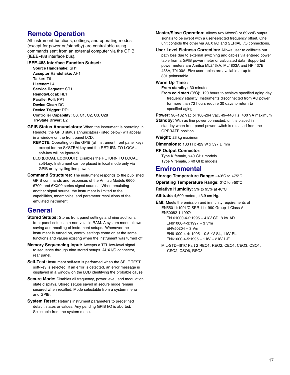# **Remote Operation**

All instrument functions, settings, and operating modes (except for power on/standby) are controllable using commands sent from an external computer via the GPIB (IEEE-488 interface bus).

#### **IEEE-488 Interface Function Subset:**

**Source Handshake:** SH1 **Acceptor Handshake:** AH1 **Talker:** T6 **Listener:** L4 **Service Request:** SR1 **Remote/Local:** RL1 **Parallel Poll:** PP1 **Device Clear:** DC1 **Device Trigger:** DT1 **Controller Capability:** C0, C1, C2, C3, C28 **Tri-State Driver:** E2

- **GPIB Status Annunciators:** When the instrument is operating in Remote, the GPIB status annunciators (listed below) will appear in a window on the front panel LCD.
	- **REMOTE:** Operating on the GPIB (all instrument front panel keys except for the SYSTEM key and the RETURN TO LOCAL soft-key will be ignored).
	- **LLO (LOCAL LOCKOUT):** Disables the RETURN TO LOCAL soft-key. Instrument can be placed in local mode only via GPIB or by cycling line power.
- **Command Structures:** The instrument responds to the published GPIB commands and responses of the Anritsu Models 6600, 6700, and 6XX00-series signal sources. When emulating another signal source, the instrument is limited to the capabilities, mnemonics, and parameter resolutions of the emulated instrument.

### **General**

- **Stored Setups:** Stores front panel settings and nine additional front-panel setups in a non-volatile RAM. A system menu allows saving and recalling of instrument setups. Whenever the instrument is turned on, control settings come on at the same functions and values existing when the instrument was turned off.
- **Memory Sequencing Input:** Accepts a TTL low-level signal to sequence through nine stored setups. AUX I/O connector, rear panel.
- **Self-Test:** Instrument self-test is performed when the SELF TEST soft-key is selected. If an error is detected, an error message is displayed in a window on the LCD identifying the probable cause.
- **Secure Mode:** Disables all frequency, power level, and modulation state displays. Stored setups saved in secure mode remain secured when recalled. Mode selectable from a system menu and GPIB.
- **System Reset:** Returns instrument parameters to predefined default states or values. Any pending GPIB I/O is aborted. Selectable from the system menu.

**Master/Slave Operation:** Allows two 68xxxC or 69xxxB output signals to be swept with a user-selected frequency offset. One unit controls the other via AUX I/O and SERIAL I/O connections.

**User Level Flatness Correction:** Allows user to calibrate out path loss due to external switching and cables via entered power table from a GPIB power meter or calculated data. Supported power meters are Anritsu ML243xA, ML4803A and HP 437B, 438A, 70100A. Five user tables are available at up to 801 points/table.

#### **Warm Up Time :**

**From standby:** 30 minutes

**From cold start (0**°**C):** 120 hours to achieve specified aging day frequency stability. Instruments disconnected from AC power for more than 72 hours require 30 days to return to specified aging.

**Power:** 90−132 Vac or 180-264 Vac, 49–440 Hz, 400 VA maximum

**Standby:** With ac line power connected, unit is placed in standby when front panel power switch is released from the OPERATE position.

**Weight:** 23 kg maximum

**Dimensions:** 133 H x 429 W x 597 D mm

#### **RF Output Connector:**

Type K female, ≤40 GHz models Type V female, >40 GHz models

### **Environmental**

**Storage Temperature Range:** –40°C to +75°C

**Operating Temperature Range:** 0°C to +50°C

**Relative Humidity:** 5% to 95% at 40°C

**Altitude:** 4,600 meters, 43.9 cm Hg.

**EMI:** Meets the emission and immunity requirements of EN55011:1991/CISPR-11:1990 Group 1 Class A EN50082-1:1997/

> EN 61000-4-2:1995 - 4 kV CD, 8 kV AD EN61000-4-3:1997 − 3 V/m ENV50204 – 3 V/m EN61000-4-4: 1995 − 0.5 kV SL, 1 kV PL EN61000-4-5:1995 − 1 kV − 2 kV L-E

MIL-STD-461C Part 2 REO1, REO2, CEO1, CEO3, CSO1, CSO2, CSO6, RSO3.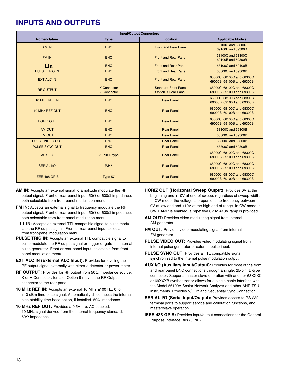# **INPUTS AND OUTPUTS**

| <b>Input/Output Connectors</b> |                                   |                                                          |                                                        |
|--------------------------------|-----------------------------------|----------------------------------------------------------|--------------------------------------------------------|
| Nomenclature                   | <b>Type</b>                       | Location                                                 | <b>Applicable Models</b>                               |
| AM IN                          | <b>BNC</b>                        | <b>Front and Rear Pane</b>                               | 68100C and 68300C<br>69100B and 69300B                 |
| <b>FM IN</b>                   | <b>BNC</b>                        | <b>Front and Rear Panel</b>                              | 68100C and 68300C<br>69100B and 69300B                 |
| $\Box$ IN                      | <b>BNC</b>                        | <b>Front and Rear Panel</b>                              | 68100C and 69100B                                      |
| <b>PULSE TRIG IN</b>           | <b>BNC</b>                        | <b>Front and Rear Panel</b>                              | 68300C and 69300B                                      |
| <b>EXT ALC IN</b>              | <b>BNC</b>                        | <b>Front and Rear Panel</b>                              | 68000C, 68100C and 68300C<br>69000B, 69100B and 69300B |
| <b>RF OUTPUT</b>               | <b>K-Connector</b><br>V-Connector | <b>Standard-Front Pane</b><br><b>Option 9-Rear Panel</b> | 68000C, 68100C and 68300C<br>69000B, 69100B and 69300B |
| 10 MHz REF IN                  | <b>BNC</b>                        | <b>Rear Panel</b>                                        | 68000C, 68100C and 68300C<br>69000B, 69100B and 69300B |
| 10 MHz REF OUT                 | <b>BNC</b>                        | <b>Rear Panel</b>                                        | 68000C, 68100C and 68300C<br>69000B, 69100B and 69300B |
| <b>HORIZ OUT</b>               | <b>BNC</b>                        | <b>Rear Panel</b>                                        | 68000C, 68100C and 68300C<br>69000B, 69100B and 69300B |
| AM OUT                         | <b>BNC</b>                        | <b>Rear Panel</b>                                        | 68300C and 69300B                                      |
| <b>FM OUT</b>                  | <b>BNC</b>                        | <b>Rear Panel</b>                                        | 68300C and 69300B                                      |
| <b>PULSE VIDEO OUT</b>         | <b>BNC</b>                        | <b>Rear Panel</b>                                        | 68300C and 69300B                                      |
| <b>PULSE SYNC OUT</b>          | <b>BNC</b>                        | <b>Rear Panel</b>                                        | 68300C and 69300B                                      |
| AUX I/O                        | 25-pin D-type                     | <b>Rear Panel</b>                                        | 68000C, 68100C and 68300C<br>69000B, 69100B and 69300B |
| <b>SERIAL I/O</b>              | <b>RJ45</b>                       | <b>Rear Panel</b>                                        | 68000C, 68100C and 68300C<br>69000B, 69100B and 69300B |
| IEEE-488 GPIB                  | Type 57                           | <b>Rear Panel</b>                                        | 68000C, 68100C and 68300C<br>69000B, 69100B and 69300B |

- **AM IN:** Accepts an external signal to amplitude modulate the RF output signal. Front or rear-panel input, 50Ω or 600Ω impedance, both selectable from front-panel modulation menu.
- **FM IN:** Accepts an external signal to frequency modulate the RF output signal. Front or rear-panel input, 50 $Ω$  or 600 $Ω$  impedance, both selectable from front-panel modulation menu.
- **IN:** Accepts an external TTL compatible signal to pulse modulate the RF output signal. Front or rear-panel input, selectable from front-panel modulation menu.
- **PULSE TRIG IN:** Accepts an external TTL compatible signal to pulse modulate the RF output signal or trigger or gate the internal pulse generator. Front or rear-panel input, selectable from frontpanel modulation menu.
- **EXT ALC IN (External ALC Input):** Provides for leveling the RF output signal externally with either a detector or power meter.
- **RF OUTPUT:** Provides for RF output from 50Ω impedance source. K or V Connector, female. Option 9 moves the RF Output connector to the rear panel.
- **10 MHz REF IN:** Accepts an external 10 MHz ±100 Hz, 0 to +10 dBm time-base signal. Automatically disconnects the internal high-stability time-base option, if installed. 50Ω impedance.
- **10 MHz REF OUT:** Provides a 0.5V p-p, AC coupled, 10 MHz signal derived from the internal frequency standard. 50Ω impedance.

**HORIZ OUT (Horizontal Sweep Output):** Provides 0V at the beginning and +10V at end of sweep, regardless of sweep width. In CW mode, the voltage is proportional to frequency between 0V at low end and +10V at the high end of range. In CW mode, if CW RAMP is enabled, a repetitive 0V to +10V ramp is provided.

- **AM OUT:** Provides video modulating signal from internal AM generator.
- **FM OUT:** Provides video modulating signal from internal FM generator.
- **PULSE VIDEO OUT:** Provides video modulating signal from internal pulse generator or external pulse input.
- **PULSE SYNC OUT:** Provides a TTL compatible signal synchronized to the internal pulse modulation output.
- **AUX I/O (Auxiliary Input/Output):** Provides for most of the front and rear panel BNC connections through a single, 25-pin, D-type connector. Supports master-slave operation with another 68XXXC or 69XXXB synthesizer or allows for a single-cable interface with the Model 56100A Scalar Network Analyzer and other ANRITSU instruments. Provides V/GHz and Sequential Sync Connection.
- **SERIAL I/O (Serial Input/Output):** Provides access to RS-232 terminal ports to support service and calibration functions, and master/slave operation.
- **IEEE-488 GPIB:** Provides input/output connections for the General Purpose Interface Bus (GPIB).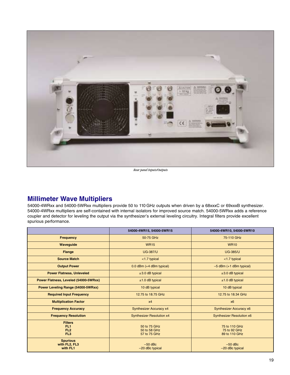

*Rear panel Inputs/Outputs*

# **Millimeter Wave Multipliers**

54000-4WRxx and 54000-5WRxx multipliers provide 50 to 110 GHz outputs when driven by a 68xxxC or 69xxxB synthesizer. 54000-4WRxx multipliers are self-contained with internal isolators for improved source match. 54000-5WRxx adds a reference coupler and detector for leveling the output via the synthesizer's external leveling circuitry. Integral filters provide excellent spurious performance.

|                                                                         | 54000-4WR15, 54000-5WR15                     | 54000-4WR10, 54000-5WR10                       |
|-------------------------------------------------------------------------|----------------------------------------------|------------------------------------------------|
| <b>Frequency</b>                                                        | 50-75 GHz                                    | 75-110 GHz                                     |
| Waveguide                                                               | <b>WR15</b>                                  | <b>WR10</b>                                    |
| Flange                                                                  | <b>UG-387/U</b>                              | <b>UG-385/U</b>                                |
| <b>Source Match</b>                                                     | <1.7 typical                                 | <1.7 typical                                   |
| <b>Output Power</b>                                                     | $0.0$ dBm $(+4$ dBm typical)                 | $-5$ dBm $(+1$ dBm typical)                    |
| <b>Power Flatness, Unleveled</b>                                        | $±3.0$ dB typical                            | $±3.0$ dB typical                              |
| Power Flatness, Leveled (54000-5WRxx)                                   | $±1.0$ dB typical                            | $±1.0$ dB typical                              |
| Power Leveling Range (54000-5WRxx)                                      | 10 dB typical                                | 10 dB typical                                  |
| <b>Required Input Frequency</b>                                         | 12.75 to 18.75 GHz                           | 12.75 to 18.34 GHz                             |
| <b>Multiplication Factor</b>                                            | x4                                           | x6                                             |
| <b>Frequency Accuracy</b>                                               | <b>Synthesizer Accuracy x4</b>               | <b>Synthesizer Accuracy x6</b>                 |
| <b>Frequency Resolution</b>                                             | <b>Synthesizer Resolution x4</b>             | <b>Synthesizer Resolution x6</b>               |
| <b>Filters</b><br>FL <sub>1</sub><br>FL <sub>2</sub><br>FL <sub>3</sub> | 50 to 75 GHz<br>50 to 58 GHz<br>57 to 75 GHz | 75 to 110 GHz<br>75 to 92 GHz<br>89 to 110 GHz |
| <b>Spurious</b><br>with FL2, FL3<br>with FL1                            | $-50$ dBc<br>-20 dBc typical                 | $-50$ dBc<br>$-20$ dBc typical                 |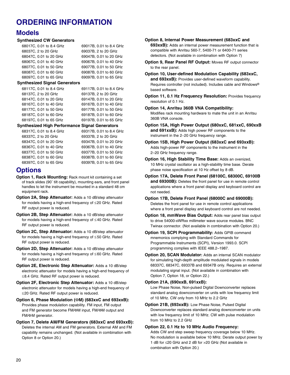# **ORDERING INFORMATION**

### **Models**

#### **Synthesized CW Generators**

| 68017C, 0.01 to 8.4 GHz | 69017B, 0.01 to 8.4 GHz |
|-------------------------|-------------------------|
| 68037C, 2 to 20 GHz     | 69037B, 2 to 20 GHz     |
| 68047C, 0.01 to 20 GHz  | 69047B, 0.01 to 20 GHz  |
| 68067C, 0.01 to 40 GHz  | 69067B, 0.01 to 40 GHz  |
| 68077C, 0.01 to 50 GHz  | 69077B, 0.01 to 50 GHz  |
| 68087C, 0.01 to 60 GHz  | 69087B, 0.01 to 60 GHz  |
| 68097C, 0.01 to 65 GHz  | 69097B, 0.01 to 65 GHz  |

#### **Synthesized Signal Generators**

| 68117C, 0.01 to 8.4 GHz | 69117B, 0.01 to 8.4 GHz |
|-------------------------|-------------------------|
| 68137C, 2 to 20 GHz     | 69137B, 2 to 20 GHz     |
| 68147C, 0.01 to 20 GHz  | 69147B, 0.01 to 20 GHz  |
| 68167C, 0.01 to 40 GHz  | 69167B, 0.01 to 40 GHz  |
| 68177C, 0.01 to 50 GHz  | 69177B, 0.01 to 50 GHz  |
| 68187C, 0.01 to 60 GHz  | 69187B, 0.01 to 60 GHz  |
| 68197C, 0.01 to 65 GHz  | 69197B, 0.01 to 65 GHz  |
|                         |                         |

#### **Synthesized High Performance Signal Generators**

| 68317C, 0.01 to 8.4 GHz | 69317B, 0.01 to 8.4 GHz |
|-------------------------|-------------------------|
| 68337C, 2 to 20 GHz     | 69337B, 2 to 20 GHz     |
| 68347C, 0.01 to 20 GHz  | 69347B, 0.01 to 20 GHz  |
| 68367C, 0.01 to 40 GHz  | 69367B, 0.01 to 40 GHz  |
| 68377C, 0.01 to 50 GHz  | 69377B, 0.01 to 50 GHz  |
| 68387C, 0.01 to 60 GHz  | 69387B, 0.01 to 60 GHz  |
| 68397C, 0.01 to 65 GHz  | 69397B, 0.01 to 65 GHz  |

### **Options**

- **Option 1, Rack Mounting:** Rack mount kit containing a set of track slides (90˚ tilt capability), mounting ears, and front panel handles to let the instrument be mounted in a standard 48 cm equipment rack.
- **Option 2A, Step Attenuator:** Adds a 10 dB/step attenuator for models having a high-end frequency of ≤20 GHz. Rated RF output power is reduced.
- **Option 2B, Step Attenuator:** Adds a 10 dB/step attenuator for models having a high-end frequency of ≤ 40 GHz. Rated RF output power is reduced.
- **Option 2C, Step Attenuator:** Adds a 10 dB/step attenuator for models having a high-end frequency of ≤ 50 GHz. Rated RF output power is reduced.
- **Option 2D, Step Attenuator:** Adds a 10 dB/step attenuator for models having a high-end frequency of ≤ 60 GHz. Rated RF output power is reduced.
- **Option 2E, Electronic Step Attenuator:** Adds a 10 dB/step electronic attenuator for models having a high-end frequency of ≤8.4 GHz. Rated RF output power is reduced.
- **Option 2F, Electronic Step Attenuator:** Adds a 10 dB/step electronic attenuator for models having a high-end frequency of ≤20 GHz. Rated RF output power is reduced.
- **Option 6, Phase Modulation (**Φ**M) (683xxC and 693xxB):** Provides phase modulation capability. FM input, FM output and FM generator become FM/ΦM input, FM/ΦM output and FM/ΦM generator.
- **Option 7, Delete AM/FM Generators (683xxC and 693xxB):** Deletes the internal AM and FM generators. External AM and FM capability remains unchanged. (Not available in combination with Option 8 or Option 20.)

**Option 8, Internal Power Measurement (683xxC and 693xxB):** Adds an internal power measurement function that is compatible with Anritsu 560-7, 5400-71 or 6400-71 series detectors. (Not available in combination with Option 7)

**Option 9, Rear Panel RF Output:** Moves RF output connector to the rear panel.

**Option 10, User-defined Modulation Capability (683xxC, and 693xxB):** Provides user-defined waveform capability. Requires controller (not included). Includes cable and Windows® based software.

- **Option 11, 0.1 Hz Frequency Resolution:** Provides frequency resolution of 0.1 Hz.
- **Option 14, Anritsu 360B VNA Compatibility:**

Modifies rack mounting hardware to mate the unit in an Anritsu 360B VNA console.

- **Option 15A, High Power Output (680xxC, 681xxC, 690xxB and 691xxB):** Adds high power RF components to the instrument in the 2−20 GHz frequency range.
- **Option 15B, High Power Output (683xxC and 693xxB):** Adds high-power RF components to the instrument in the 2–20 GHz frequency range.
- **Option 16, High Stability Time Base:** Adds an ovenized, 10 MHz crystal oscillator as a high-stability time base. Derate phase noise specification at 10 Hz offset by 8 dB.
- **Option 17A, Delete Front Panel (68100C, 68300C, 69100B and 69300B):** Deletes the front panel for use in remote control applications where a front panel display and keyboard control are not needed.
- **Option 17B, Delete Front Panel (68000C and 69000B):** Deletes the front panel for use in remote control applications where a front panel display and keyboard control are not needed.
- **Option 18, mmWave Bias Output:** Adds rear panel bias output to drive 54000-xWRxx millimeter wave source modules. BNC Twinax connector. (Not available in combination with Option 20.)
- **Option 19, SCPI Programmability:** Adds GPIB command mnemonics complying with Standard Commands for Programmable Instruments (SCPI), Version 1993.0. SCPI programming complies with IEEE 488.2–1987.
- **Option 20, SCAN Modulator:** Adds an internal SCAN modulator for simulating high-depth amplitude modulated signals in models 68337C, 68347C, 69337B and 69347B only. Requires an external modulating signal input. (Not available in combination with Option 7, Option 18, or Option 22.)

#### **Option 21A, (690xxB, 691xxB):**

Low Phase Noise, Non-pulsed Digital Downconverter replaces standard analog downconverter on units with low frequency limit of 10 MHz. CW only from 10 MHz to 2.2 GHz

**Option 21B, (693xxB):** Low Phase Noise, Pulsed Digital Downconverter replaces standard analog downconverter on units with low frequency limit of 10 MHz. CW with pulse modulation from 10 MHz to 2.2 GHz

#### **Option 22, 0.1 Hz to 10 MHz Audio Frequency:**

Adds CW and step sweep frequency coverage below 10 MHz. No modulation is available below 10 MHz. Derate output power by 1 dB for ≤20 GHz and 2 dB for >20 GHz (Not available in combination with Option 20.)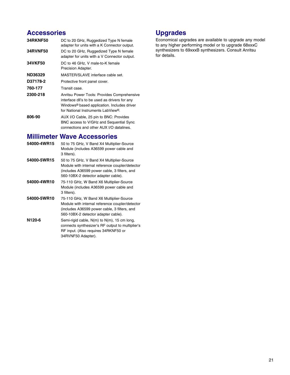# **Accessories**

| <b>34RKNF50</b> | DC to 20 GHz, Ruggedized Type N female<br>adapter for units with a K Connector output.                                                                                                        |
|-----------------|-----------------------------------------------------------------------------------------------------------------------------------------------------------------------------------------------|
| <b>34RVNF50</b> | DC to 20 GHz, Ruggedized Type N female<br>adapter for units with a V Connector output.                                                                                                        |
| <b>34VKF50</b>  | DC to 46 GHz, V male-to-K female<br>Precision Adapter.                                                                                                                                        |
| ND36329         | MASTER/SLAVE interface cable set.                                                                                                                                                             |
| D37178-2        | Protective front panel cover.                                                                                                                                                                 |
| 760-177         | Transit case.                                                                                                                                                                                 |
| 2300-218        | Anritsu Power Tools: Provides Comprehensive<br>interface dll's to be used as drivers for any<br>Windows <sup>®</sup> based application. Includes driver<br>for National Instruments LabView®. |
| 806-90          | AUX I/O Cable, 25 pin to BNC: Provides<br>BNC access to V/GHz and Sequential Sync<br>connections and other AUX I/O datalines.                                                                 |

# **Millimeter Wave Accessories**<br>54000-4WR15 50 to 75 GHz. V Band X4 Multiplie

50 to 75 GHz, V Band X4 Multiplier-Source Module (includes A36599 power cable and 3 filters). **54000-5WR15** 50 to 75 GHz, V Band X4 Multiplier-Source Module with internal reference coupler/detector (includes A36599 power cable, 3 filters, and 560-10BX-2 detector adapter cable). **54000-4WR10** 75-110 GHz, W Band X6 Multiplier-Source Module (includes A36599 power cable and 3 filters). **54000-5WR10** 75-110 GHz, W Band X6 Multiplier-Source Module with internal reference coupler/detector (includes A36599 power cable, 3 filters, and 560-10BX-2 detector adapter cable). **N120-6** Semi-rigid cable, N(m) to N(m), 15 cm long, connects synthesizer's RF output to multiplier's RF input. (Also requires 34RKNF50 or 34RVNF50 Adapter).

# **Upgrades**

Economical upgrades are available to upgrade any model to any higher performing model or to upgrade 68xxxC synthesizers to 69xxxB synthesizers. Consult Anritsu for details.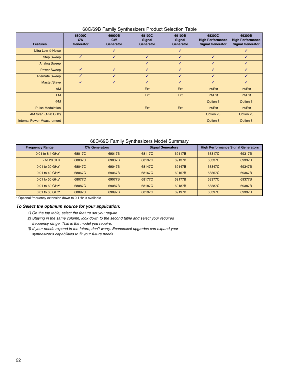#### 68C/69B Family Synthesizers Product Selection Table

| <b>Features</b>                   | 68000C<br><b>CW</b><br>Generator | 69000B<br>cw<br>Generator | 68100C<br>Signal<br>Generator | 69100B<br>Signal<br>Generator | 68300C<br><b>High Performance</b><br><b>Signal Generator</b> | 69300B<br><b>High Performance</b><br><b>Signal Generator</b> |
|-----------------------------------|----------------------------------|---------------------------|-------------------------------|-------------------------------|--------------------------------------------------------------|--------------------------------------------------------------|
| Ultra Low $\Phi$ Noise            |                                  | ✓                         |                               | ✓                             |                                                              | ✓                                                            |
| <b>Step Sweep</b>                 | $\checkmark$                     | $\checkmark$              | $\checkmark$                  | ✓                             | $\checkmark$                                                 | $\checkmark$                                                 |
| <b>Analog Sweep</b>               |                                  |                           | ✓                             | ✓                             | $\checkmark$                                                 | $\checkmark$                                                 |
| <b>Power Sweep</b>                | $\checkmark$                     | $\checkmark$              | $\checkmark$                  | ✓                             | $\checkmark$                                                 | $\checkmark$                                                 |
| <b>Alternate Sweep</b>            | ✓                                | ✓                         | $\checkmark$                  | ✓                             | $\checkmark$                                                 | $\checkmark$                                                 |
| Master/Slave                      | ✓                                | J                         | $\checkmark$                  | $\checkmark$                  | $\checkmark$                                                 | $\checkmark$                                                 |
| <b>AM</b>                         |                                  |                           | Ext                           | Ext                           | Int/Ext                                                      | Int/Ext                                                      |
| <b>FM</b>                         |                                  |                           | Ext                           | Ext                           | Int/Ext                                                      | Int/Ext                                                      |
| $\Phi$ M                          |                                  |                           |                               |                               | Option 6                                                     | Option 6                                                     |
| <b>Pulse Modulation</b>           |                                  |                           | Ext                           | Ext                           | Int/Ext                                                      | Int/Ext                                                      |
| AM Scan (1-20 GHz)                |                                  |                           |                               |                               | Option 20                                                    | Option 20                                                    |
| <b>Internal Power Measurement</b> |                                  |                           |                               |                               | Option 8                                                     | Option 8                                                     |

#### 68C/69B Family Synthesizers Model Summary

| <b>Frequency Range</b>        | <b>CW Generators</b> |        | <b>Signal Generators</b> |        | <b>High Performance Signal Generators</b> |        |
|-------------------------------|----------------------|--------|--------------------------|--------|-------------------------------------------|--------|
| 0.01 to 8.4 GHz*              | 68017C               | 69017B | 68117C                   | 69117B | 68317C                                    | 69317B |
| 2 to 20 GHz                   | 68037C               | 69037B | 68137C                   | 69137B | 68337C                                    | 69337B |
| 0.01 to 20 GHz*               | 68047C               | 69047B | 68147C                   | 69147B | 68347C                                    | 69347B |
| $0.01$ to 40 GHz <sup>*</sup> | 68067C               | 69067B | 68167C                   | 69167B | 68367C                                    | 69367B |
| 0.01 to 50 GHz*               | 68077C               | 69077B | 68177C                   | 69177B | 68377C                                    | 69377B |
| $0.01$ to 60 GHz <sup>*</sup> | 68087C               | 69087B | 68187C                   | 69187B | 68387C                                    | 69387B |
| 0.01 to 65 GHz*               | 68097C               | 69097B | 68197C                   | 69197B | 68397C                                    | 69397B |

\* Optional frequency extension down to 0.1Hz is available

#### *To Select the optimum source for your application:*

- *1) On the top table, select the feature set you require.*
- *2) Staying in the same column, look down to the second table and select your required frequency range. This is the model you require.*
- *3) If your needs expand in the future, don't worry. Economical upgrades can expand your synthesizer's capabilities to fit your future needs.*